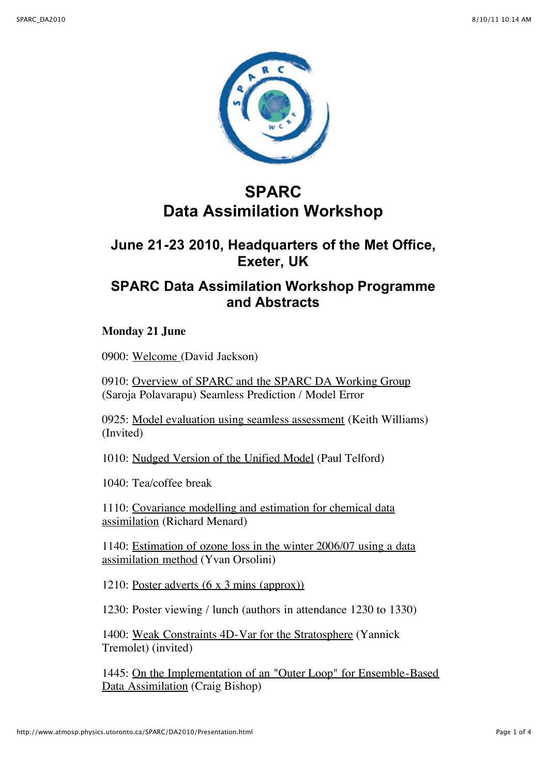

# **SPARC Data Assimilation Workshop**

## **June 21-23 2010, Headquarters of the Met Office, Exeter, UK**

# **SPARC Data Assimilation Workshop Programme and Abstracts**

### **Monday 21 June**

0900: [Welcome](http://www.atmosp.physics.utoronto.ca/SPARC/DA2010/Monday/Jackson_Intro.pdf) (David Jackson)

0910: [Overview of SPARC and the SPARC DA Working Group](http://www.atmosp.physics.utoronto.ca/SPARC/DA2010/Monday/Saroja_Intro.pdf) (Saroja Polavarapu) Seamless Prediction / Model Error

0925: [Model evaluation using seamless assessment](http://www.atmosp.physics.utoronto.ca/SPARC/DA2010/Monday/williams.pdf) (Keith Williams) (Invited)

1010: [Nudged Version of the Unified Model](http://www.atmosp.physics.utoronto.ca/SPARC/DA2010/Monday/Telford.pdf) (Paul Telford)

1040: Tea/coffee break

[1110: Covariance modelling and estimation for chemical data](http://www.atmosp.physics.utoronto.ca/SPARC/DA2010/Monday/Menard.pdf) assimilation (Richard Menard)

[1140: Estimation of ozone loss in the winter 2006/07 using a data](http://www.atmosp.physics.utoronto.ca/SPARC/DA2010/Monday/Orsolin.pdf) assimilation method (Yvan Orsolini)

1210: [Poster adverts \(6 x 3 mins \(approx\)\)](http://www.atmosp.physics.utoronto.ca/SPARC/DA2010/Monday/POSTERS.pdf)

1230: Poster viewing / lunch (authors in attendance 1230 to 1330)

1400: [Weak Constraints 4D-Var for the Stratosphere](http://www.atmosp.physics.utoronto.ca/SPARC/DA2010/Monday/Tremolet.pdf) (Yannick Tremolet) (invited)

[1445: On the Implementation of an "Outer Loop" for Ensemble-Based](http://www.atmosp.physics.utoronto.ca/SPARC/DA2010/Monday/CraigB.pdf) Data Assimilation (Craig Bishop)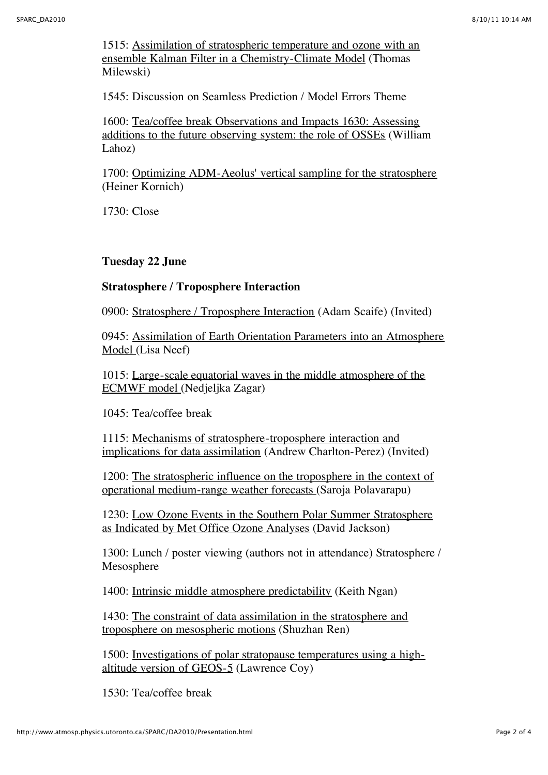[1515: Assimilation of stratospheric temperature and ozone with an](http://www.atmosp.physics.utoronto.ca/SPARC/DA2010/Monday/Milewski.pdf) ensemble Kalman Filter in a Chemistry-Climate Model (Thomas Milewski)

1545: Discussion on Seamless Prediction / Model Errors Theme

1600: Tea/coffee break Observations and Impacts 1630: Assessing [additions to the future observing system: the role of OSSEs \(Willia](http://www.atmosp.physics.utoronto.ca/SPARC/DA2010/Monday/Lahoz.pdf)m Lahoz)

1700: [Optimizing ADM-Aeolus' vertical sampling for the stratosphere](http://www.atmosp.physics.utoronto.ca/SPARC/DA2010/Monday/Koernich.pdf) (Heiner Kornich)

1730: Close

**Tuesday 22 June**

#### **Stratosphere / Troposphere Interaction**

0900: [Stratosphere / Troposphere Interaction](http://www.atmosp.physics.utoronto.ca/SPARC/DA2010/Tuesday/Scaife.pdf) (Adam Scaife) (Invited)

[0945: Assimilation of Earth Orientation Parameters into an Atmosphere](http://www.atmosp.physics.utoronto.ca/SPARC/DA2010/Tuesday/lisaneef_sparcDA_2010.pdf) Model (Lisa Neef)

[1015: Large-scale equatorial waves in the middle atmosphere of the](http://www.atmosp.physics.utoronto.ca/SPARC/DA2010/Tuesday/Zagar.pdf) ECMWF model (Nedjeljka Zagar)

1045: Tea/coffee break

1115: Mechanisms of stratosphere-troposphere interaction and [implications for data assimilation \(Andrew Charlton-Perez\) \(In](http://www.atmosp.physics.utoronto.ca/SPARC/DA2010/Tuesday/charlton_perez.pdf)vited)

[1200: The stratospheric influence on the troposphere in the context of](http://www.atmosp.physics.utoronto.ca/SPARC/DA2010/Tuesday/Polavarapu_v2.pdf) operational medium-range weather forecasts (Saroja Polavarapu)

[1230: Low Ozone Events in the Southern Polar Summer Stratosphere](http://www.atmosp.physics.utoronto.ca/SPARC/DA2010/Tuesday/David_Jackson.pdf) as Indicated by Met Office Ozone Analyses (David Jackson)

1300: Lunch / poster viewing (authors not in attendance) Stratosphere / Mesosphere

1400: [Intrinsic middle atmosphere predictability](http://www.atmosp.physics.utoronto.ca/SPARC/DA2010/Tuesday/kngan_sparc.pdf) (Keith Ngan)

[1430: The constraint of data assimilation in the stratosphere and](http://www.atmosp.physics.utoronto.ca/SPARC/DA2010/Tuesday/Ren.pdf) troposphere on mesospheric motions (Shuzhan Ren)

[1500: Investigations of polar stratopause temperatures using a high](http://www.atmosp.physics.utoronto.ca/SPARC/DA2010/Tuesday/coy.pdf)altitude version of GEOS-5 (Lawrence Coy)

1530: Tea/coffee break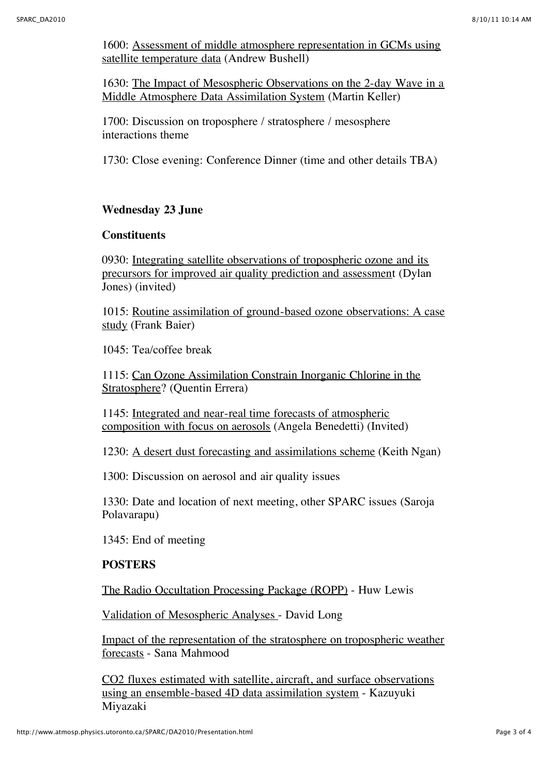[1600: Assessment of middle atmosphere representation in GCMs using](http://www.atmosp.physics.utoronto.ca/SPARC/DA2010/Tuesday/Bushell.pdf) satellite temperature data (Andrew Bushell)

[1630: The Impact of Mesospheric Observations on the 2-day Wave in a](http://www.atmosp.physics.utoronto.ca/SPARC/DA2010/Tuesday/Keller.pdf) Middle Atmosphere Data Assimilation System (Martin Keller)

1700: Discussion on troposphere / stratosphere / mesosphere interactions theme

1730: Close evening: Conference Dinner (time and other details TBA)

#### **Wednesday 23 June**

#### **Constituents**

[0930: Integrating satellite observations of tropospheric ozone and its](http://www.atmosp.physics.utoronto.ca/SPARC/DA2010/Wednesday/Ngan.pdf) precursors for improved air quality prediction and assessment (Dylan Jones) (invited)

[1015: Routine assimilation of ground-based ozone observations: A case](http://www.atmosp.physics.utoronto.ca/SPARC/DA2010/Wednesday/Baier.pdf) study (Frank Baier)

1045: Tea/coffee break

[1115: Can Ozone Assimilation Constrain Inorganic Chlorine in the](http://www.atmosp.physics.utoronto.ca/SPARC/DA2010/Wednesday/Errera.pdf) Stratosphere? (Quentin Errera)

1145: Integrated and near-real time forecasts of atmospheric [composition with focus on aerosols \(Angela Benedetti\) \(Invi](http://www.atmosp.physics.utoronto.ca/SPARC/DA2010/Wednesday/Benedetti.pdf)ted)

1230: [A desert dust forecasting and assimilations scheme](http://www.atmosp.physics.utoronto.ca/SPARC/DA2010/Wednesday/Ngan.pdf) (Keith Ngan)

1300: Discussion on aerosol and air quality issues

1330: Date and location of next meeting, other SPARC issues (Saroja Polavarapu)

1345: End of meeting

#### **POSTERS**

[The Radio Occultation Processing Package \(ROPP\)](http://www.atmosp.physics.utoronto.ca/SPARC/DA2010/Posters/Huw_Lewis_poster.pdf) - Huw Lewis

[Validation of Mesospheric Analyses -](http://www.atmosp.physics.utoronto.ca/SPARC/DA2010/Posters/David_Long_poster.pdf) David Long

[Impact of the representation of the stratosphere on tropospheric weather](http://www.atmosp.physics.utoronto.ca/SPARC/DA2010/Posters/Sana_Mahmood_poster.pdf) forecasts - Sana Mahmood

[CO2 fluxes estimated with satellite, aircraft, and surface observations](http://www.atmosp.physics.utoronto.ca/SPARC/DA2010/Posters/miyazaki.pdf) using an ensemble-based 4D data assimilation system - Kazuyuki Miyazaki